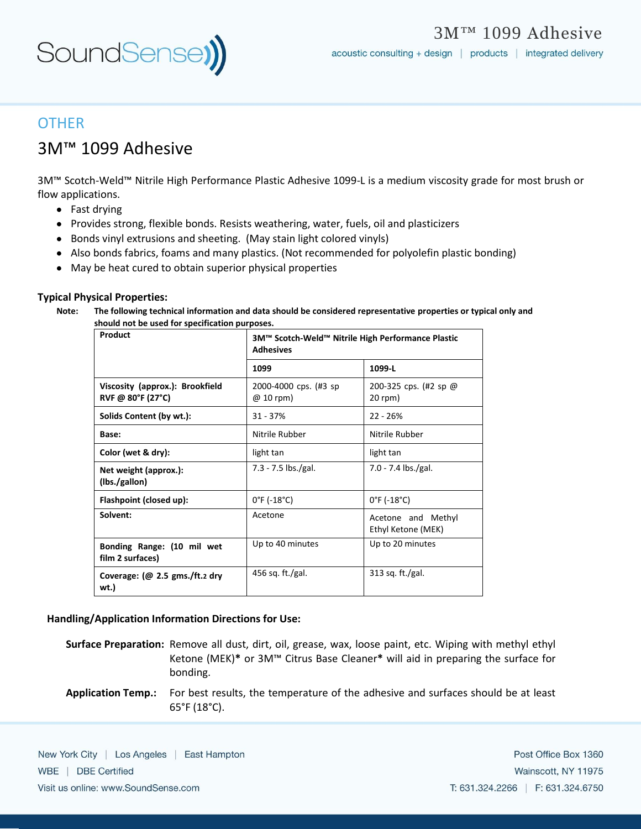

## **OTHER**

# 3M™ 1099 Adhesive

3M™ Scotch-Weld™ Nitrile High Performance Plastic Adhesive 1099-L is a medium viscosity grade for most brush or flow applications.

- Fast drying
- Provides strong, flexible bonds. Resists weathering, water, fuels, oil and plasticizers
- Bonds vinyl extrusions and sheeting. (May stain light colored vinyls)
- Also bonds fabrics, foams and many plastics. (Not recommended for polyolefin plastic bonding)
- May be heat cured to obtain superior physical properties

#### **Typical Physical Properties:**

**Note: The following technical information and data should be considered representative properties or typical only and should not be used for specification purposes.** 

| Product                                              | 3M™ Scotch-Weld™ Nitrile High Performance Plastic<br><b>Adhesives</b> |                                          |
|------------------------------------------------------|-----------------------------------------------------------------------|------------------------------------------|
|                                                      | 1099                                                                  | 1099-L                                   |
| Viscosity (approx.): Brookfield<br>RVF @ 80°F (27°C) | 2000-4000 cps. (#3 sp)<br>$@10$ rpm)                                  | 200-325 cps. (#2 sp @<br>$20$ rpm)       |
| Solids Content (by wt.):                             | $31 - 37%$                                                            | $22 - 26%$                               |
| Base:                                                | Nitrile Rubber                                                        | Nitrile Rubber                           |
| Color (wet & dry):                                   | light tan                                                             | light tan                                |
| Net weight (approx.):<br>(lbs./gallon)               | 7.3 - 7.5 lbs./gal.                                                   | 7.0 - 7.4 lbs./gal.                      |
| Flashpoint (closed up):                              | $0^{\circ}$ F (-18 $^{\circ}$ C)                                      | $0^{\circ}$ F (-18 $^{\circ}$ C)         |
| Solvent:                                             | Acetone                                                               | Acetone and Methyl<br>Ethyl Ketone (MEK) |
| Bonding Range: (10 mil wet<br>film 2 surfaces)       | Up to 40 minutes                                                      | Up to 20 minutes                         |
| Coverage: $(\omega$ 2.5 gms./ft.2 dry<br>wt.)        | 456 sq. ft./gal.                                                      | 313 sq. ft./gal.                         |

#### **Handling/Application Information Directions for Use:**

- **Surface Preparation:** Remove all dust, dirt, oil, grease, wax, loose paint, etc. Wiping with methyl ethyl Ketone (MEK)**\*** or 3M™ Citrus Base Cleaner**\*** will aid in preparing the surface for bonding.
- **Application Temp.:** For best results, the temperature of the adhesive and surfaces should be at least 65°F (18°C).